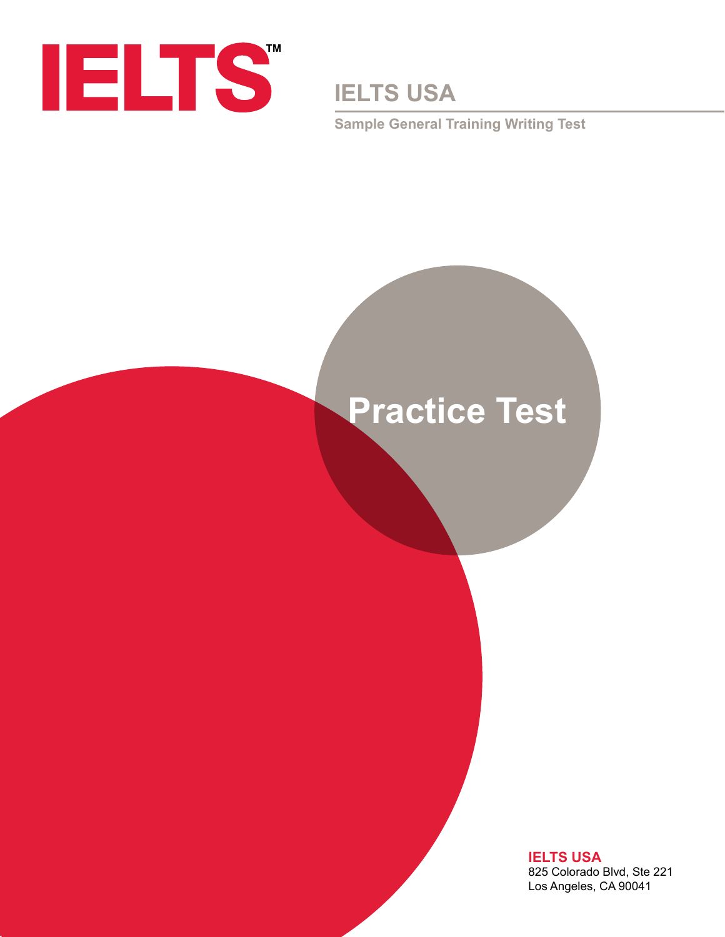

**IELTS USA**

**Sample General Training Writing Test**

# **Practice Test**

**IELTS USA** 825 Colorado Blvd, Ste 221 Los Angeles, CA 90041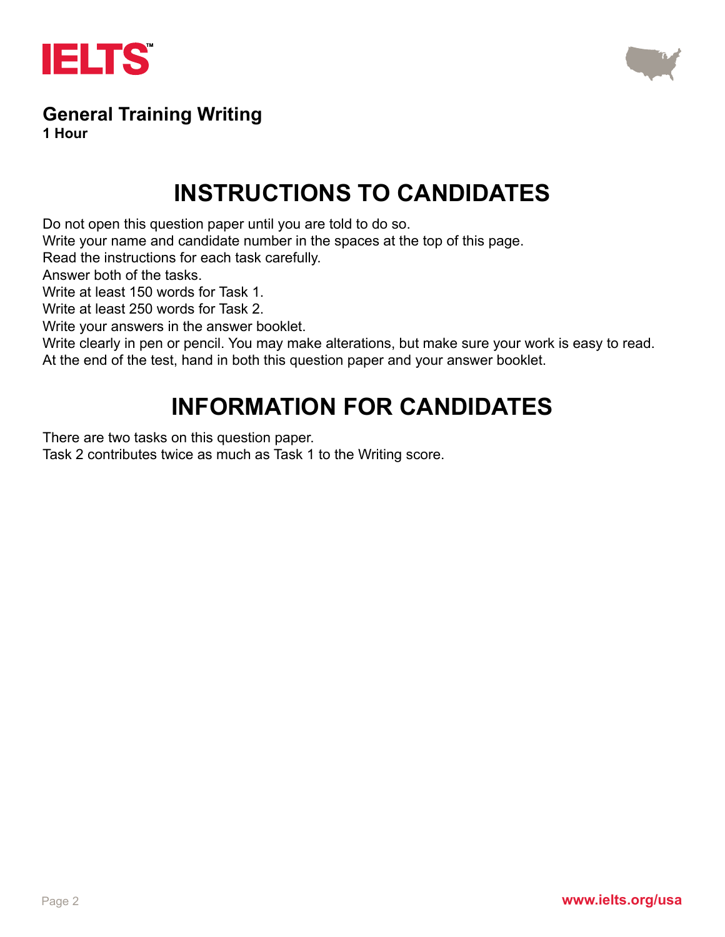



## **General Training Writing**

**1 Hour**

## **INSTRUCTIONS TO CANDIDATES**

Do not open this question paper until you are told to do so.

Write your name and candidate number in the spaces at the top of this page.

Read the instructions for each task carefully.

Answer both of the tasks.

Write at least 150 words for Task 1.

Write at least 250 words for Task 2.

Write your answers in the answer booklet.

Write clearly in pen or pencil. You may make alterations, but make sure your work is easy to read.

At the end of the test, hand in both this question paper and your answer booklet.

## **INFORMATION FOR CANDIDATES**

There are two tasks on this question paper.

Task 2 contributes twice as much as Task 1 to the Writing score.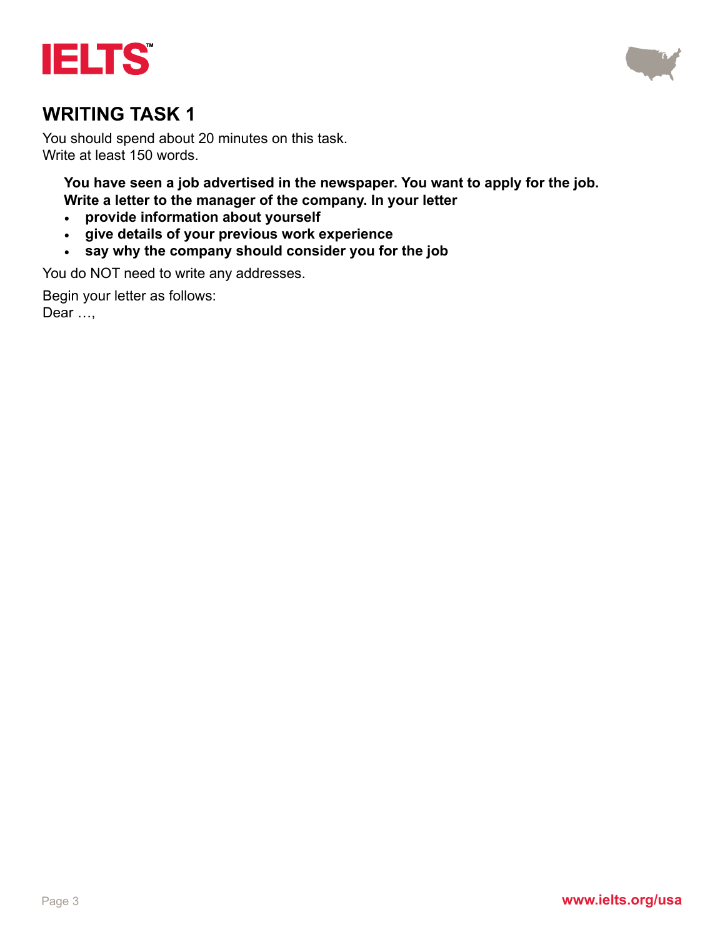



You should spend about 20 minutes on this task. Write at least 150 words.

**You have seen a job advertised in the newspaper. You want to apply for the job. Write a letter to the manager of the company. In your letter**

- **• provide information about yourself**
- **• give details of your previous work experience**
- **• say why the company should consider you for the job**

You do NOT need to write any addresses.

Begin your letter as follows: Dear …,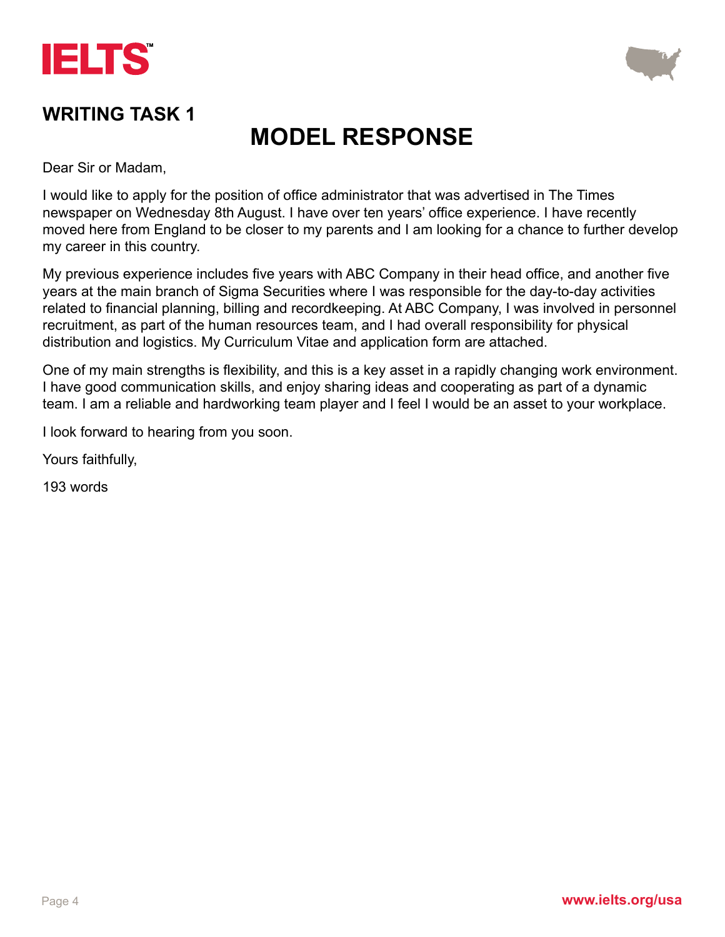



## **MODEL RESPONSE**

Dear Sir or Madam,

I would like to apply for the position of office administrator that was advertised in The Times newspaper on Wednesday 8th August. I have over ten years' office experience. I have recently moved here from England to be closer to my parents and I am looking for a chance to further develop my career in this country.

My previous experience includes five years with ABC Company in their head office, and another five years at the main branch of Sigma Securities where I was responsible for the day-to-day activities related to financial planning, billing and recordkeeping. At ABC Company, I was involved in personnel recruitment, as part of the human resources team, and I had overall responsibility for physical distribution and logistics. My Curriculum Vitae and application form are attached.

One of my main strengths is flexibility, and this is a key asset in a rapidly changing work environment. I have good communication skills, and enjoy sharing ideas and cooperating as part of a dynamic team. I am a reliable and hardworking team player and I feel I would be an asset to your workplace.

I look forward to hearing from you soon.

Yours faithfully,

193 words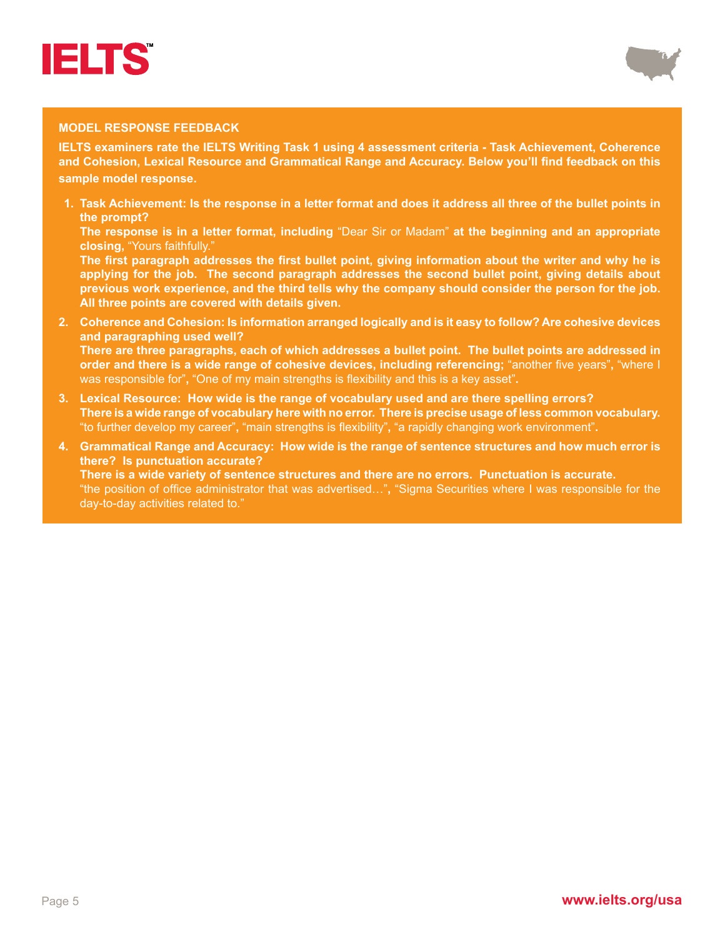



#### **MODEL RESPONSE FEEDBACK**

**IELTS examiners rate the IELTS Writing Task 1 using 4 assessment criteria - Task Achievement, Coherence and Cohesion, Lexical Resource and Grammatical Range and Accuracy. Below you'll find feedback on this sample model response.**

**1. Task Achievement: Is the response in a letter format and does it address all three of the bullet points in the prompt?**

**The response is in a letter format, including** "Dear Sir or Madam" **at the beginning and an appropriate closing,** "Yours faithfully."

**The first paragraph addresses the first bullet point, giving information about the writer and why he is applying for the job. The second paragraph addresses the second bullet point, giving details about previous work experience, and the third tells why the company should consider the person for the job. All three points are covered with details given.**

- **2. Coherence and Cohesion: Is information arranged logically and is it easy to follow? Are cohesive devices and paragraphing used well? There are three paragraphs, each of which addresses a bullet point. The bullet points are addressed in order and there is a wide range of cohesive devices, including referencing;** "another five years"**,** "where I was responsible for"**,** "One of my main strengths is flexibility and this is a key asset"**.**
- **3. Lexical Resource: How wide is the range of vocabulary used and are there spelling errors? There is a wide range of vocabulary here with no error. There is precise usage of less common vocabulary.**  "to further develop my career"**,** "main strengths is flexibility"**,** "a rapidly changing work environment"**.**
- **4. Grammatical Range and Accuracy: How wide is the range of sentence structures and how much error is there? Is punctuation accurate? There is a wide variety of sentence structures and there are no errors. Punctuation is accurate.** "the position of office administrator that was advertised…"**,** "Sigma Securities where I was responsible for the

day-to-day activities related to."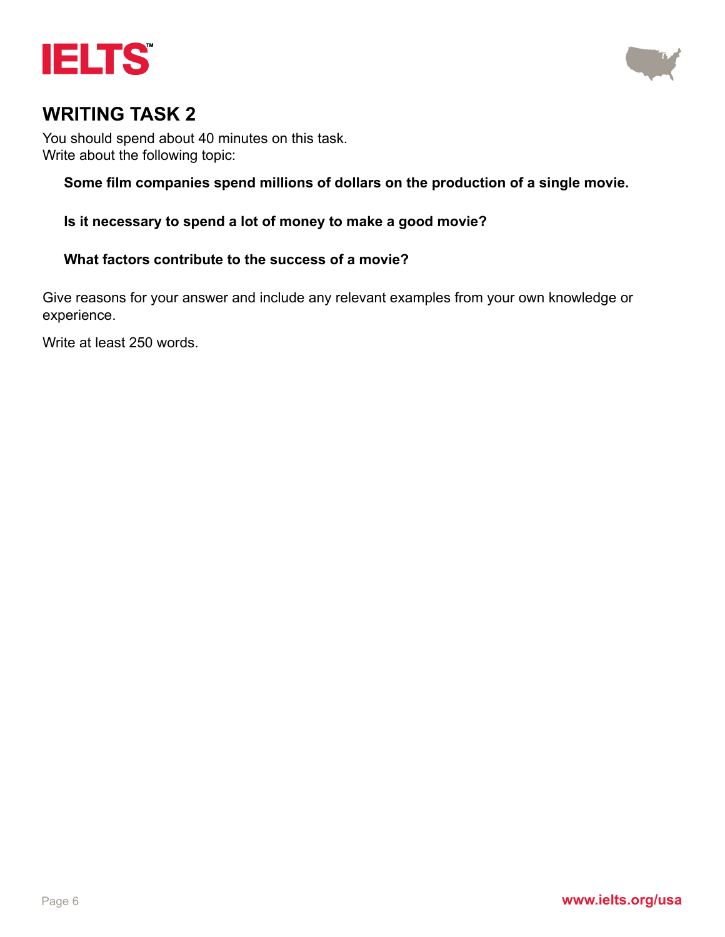



You should spend about 40 minutes on this task. Write about the following topic:

#### **Some film companies spend millions of dollars on the production of a single movie.**

**Is it necessary to spend a lot of money to make a good movie?** 

#### **What factors contribute to the success of a movie?**

Give reasons for your answer and include any relevant examples from your own knowledge or experience.

Write at least 250 words.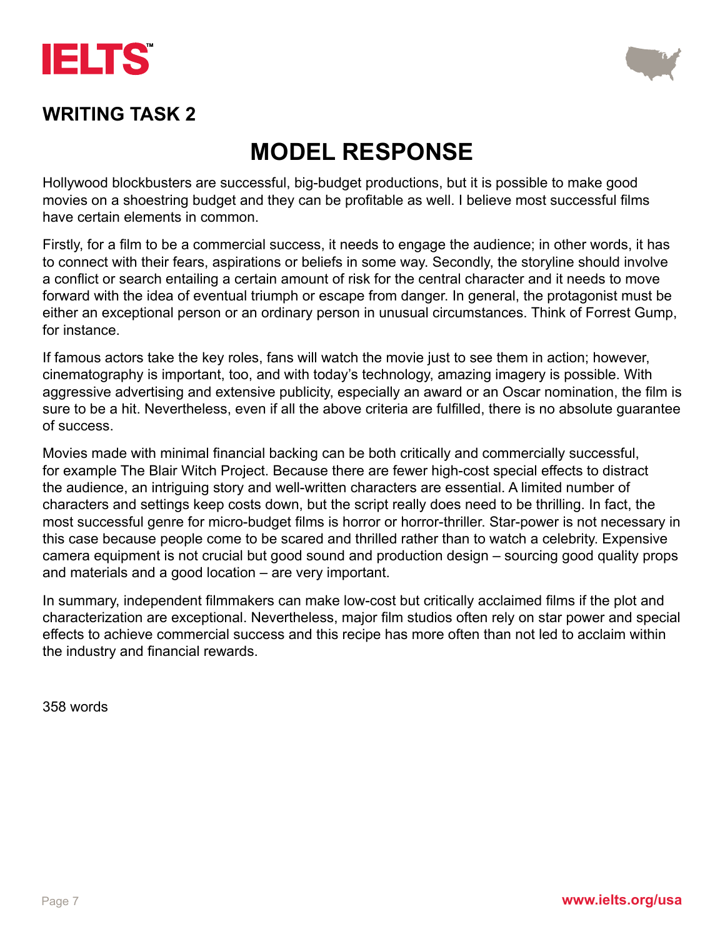



## **MODEL RESPONSE**

Hollywood blockbusters are successful, big-budget productions, but it is possible to make good movies on a shoestring budget and they can be profitable as well. I believe most successful films have certain elements in common.

Firstly, for a film to be a commercial success, it needs to engage the audience; in other words, it has to connect with their fears, aspirations or beliefs in some way. Secondly, the storyline should involve a conflict or search entailing a certain amount of risk for the central character and it needs to move forward with the idea of eventual triumph or escape from danger. In general, the protagonist must be either an exceptional person or an ordinary person in unusual circumstances. Think of Forrest Gump, for instance.

If famous actors take the key roles, fans will watch the movie just to see them in action; however, cinematography is important, too, and with today's technology, amazing imagery is possible. With aggressive advertising and extensive publicity, especially an award or an Oscar nomination, the film is sure to be a hit. Nevertheless, even if all the above criteria are fulfilled, there is no absolute guarantee of success.

Movies made with minimal financial backing can be both critically and commercially successful, for example The Blair Witch Project. Because there are fewer high-cost special effects to distract the audience, an intriguing story and well-written characters are essential. A limited number of characters and settings keep costs down, but the script really does need to be thrilling. In fact, the most successful genre for micro-budget films is horror or horror-thriller. Star-power is not necessary in this case because people come to be scared and thrilled rather than to watch a celebrity. Expensive camera equipment is not crucial but good sound and production design – sourcing good quality props and materials and a good location – are very important.

In summary, independent filmmakers can make low-cost but critically acclaimed films if the plot and characterization are exceptional. Nevertheless, major film studios often rely on star power and special effects to achieve commercial success and this recipe has more often than not led to acclaim within the industry and financial rewards.

358 words